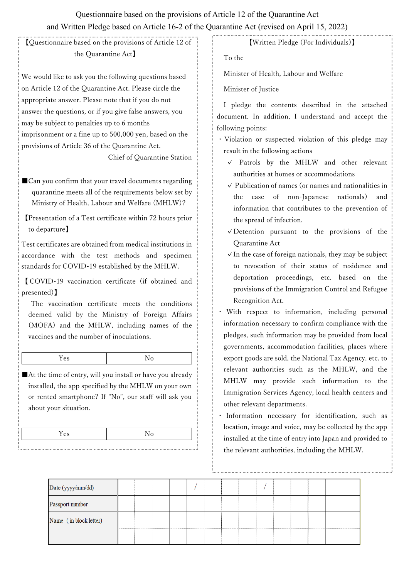## Questionnaire based on the provisions of Article 12 of the Quarantine Act and Written Pledge based on Article 16-2 of the Quarantine Act (revised on April 15, 2022)

【Questionnaire based on the provisions of Article 12 of the Quarantine Act】

We would like to ask you the following questions based on Article 12 of the Quarantine Act. Please circle the appropriate answer. Please note that if you do not answer the questions, or if you give false answers, you may be subject to penalties up to 6 months imprisonment or a fine up to 500,000 yen, based on the provisions of Article 36 of the Quarantine Act.

Chief of Quarantine Station

■ Can you confirm that your travel documents regarding quarantine meets all of the requirements below set by Ministry of Health, Labour and Welfare (MHLW)?

【Presentation of a Test certificate within 72 hours prior to departure】

Test certificates are obtained from medical institutions in accordance with the test methods and specimen standards for COVID-19 established by the MHLW.

【 COVID-19 vaccination certificate (if obtained and presented)】

The vaccination certificate meets the conditions deemed valid by the Ministry of Foreign Affairs (MOFA) and the MHLW, including names of the vaccines and the number of inoculations.

■At the time of entry, will you install or have you already installed, the app specified by the MHLW on your own or rented smartphone? If "No", our staff will ask you about your situation.

【Written Pledge (For Individuals)】

To the

Minister of Health, Labour and Welfare

Minister of Justice

I pledge the contents described in the attached document. In addition, I understand and accept the following points:

- ・Violation or suspected violation of this pledge may result in the following actions
	- ✓ Patrols by the MHLW and other relevant authorities at homes or accommodations
	- ✓ Publication of names (or names and nationalities in the case of non-Japanese nationals) and information that contributes to the prevention of the spread of infection.
	- ✓Detention pursuant to the provisions of the Quarantine Act
	- $\vee$  In the case of foreign nationals, they may be subject to revocation of their status of residence and deportation proceedings, etc. based on the provisions of the Immigration Control and Refugee Recognition Act.

・ With respect to information, including personal information necessary to confirm compliance with the pledges, such information may be provided from local governments, accommodation facilities, places where export goods are sold, the National Tax Agency, etc. to relevant authorities such as the MHLW, and the MHLW may provide such information to the Immigration Services Agency, local health centers and other relevant departments.

・ Information necessary for identification, such as location, image and voice, may be collected by the app installed at the time of entry into Japan and provided to the relevant authorities, including the MHLW.